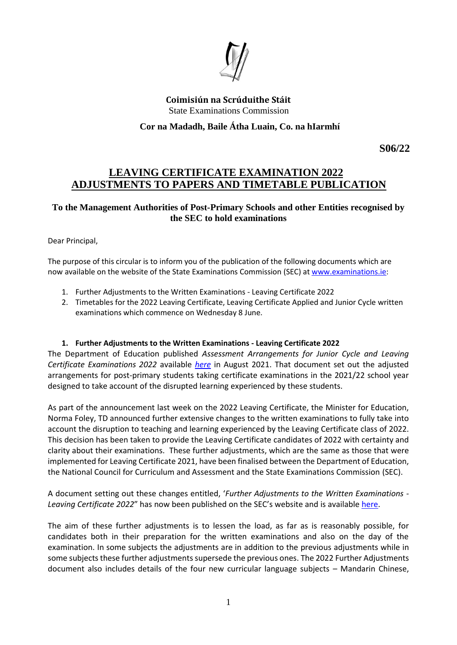

**Coimisiún na Scrúduithe Stáit** State Examinations Commission

**Cor na Madadh, Baile Átha Luain, Co. na hIarmhí**

 **S06/22**

# **LEAVING CERTIFICATE EXAMINATION 2022 ADJUSTMENTS TO PAPERS AND TIMETABLE PUBLICATION**

#### **To the Management Authorities of Post-Primary Schools and other Entities recognised by the SEC to hold examinations**

Dear Principal,

The purpose of this circular is to inform you of the publication of the following documents which are now available on the website of the State Examinations Commission (SEC) a[t www.examinations.ie:](http://www.examinations.ie/)

- 1. Further Adjustments to the Written Examinations Leaving Certificate 2022
- 2. Timetables for the 2022 Leaving Certificate, Leaving Certificate Applied and Junior Cycle written examinations which commence on Wednesday 8 June.

#### **1. Further Adjustments to the Written Examinations - Leaving Certificate 2022**

The Department of Education published *Assessment Arrangements for Junior Cycle and Leaving Certificate Examinations 2022* available *[here](https://www.examinations.ie/misc-doc/EN-EX-13298977.pdf)* in August 2021. That document set out the adjusted arrangements for post-primary students taking certificate examinations in the 2021/22 school year designed to take account of the disrupted learning experienced by these students.

As part of the announcement last week on the 2022 Leaving Certificate, the Minister for Education, Norma Foley, TD announced further extensive changes to the written examinations to fully take into account the disruption to teaching and learning experienced by the Leaving Certificate class of 2022. This decision has been taken to provide the Leaving Certificate candidates of 2022 with certainty and clarity about their examinations. These further adjustments, which are the same as those that were implemented for Leaving Certificate 2021, have been finalised between the Department of Education, the National Council for Curriculum and Assessment and the State Examinations Commission (SEC).

A document setting out these changes entitled, '*Further Adjustments to the Written Examinations - Leaving Certificate 2022*" has now been published on the SEC's website and is available [here.](https://www.examinations.ie/misc-doc/EN-EX-22888090.pdf)

The aim of these further adjustments is to lessen the load, as far as is reasonably possible, for candidates both in their preparation for the written examinations and also on the day of the examination. In some subjects the adjustments are in addition to the previous adjustments while in some subjects these further adjustments supersede the previous ones. The 2022 Further Adjustments document also includes details of the four new curricular language subjects – Mandarin Chinese,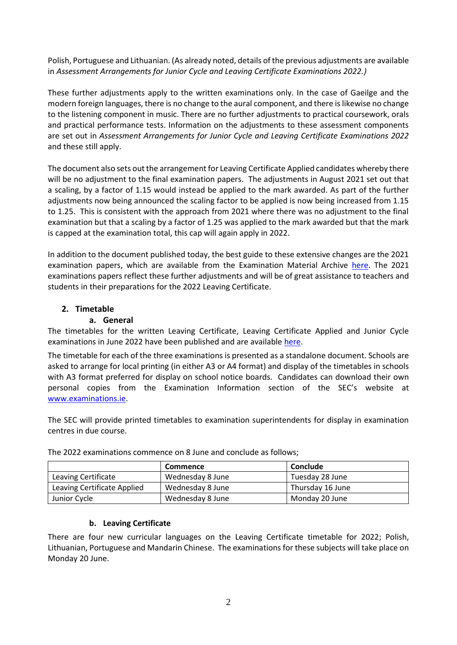Polish, Portuguese and Lithuanian. (As already noted, details of the previous adjustments are available in *Assessment Arrangements for Junior Cycle and Leaving Certificate Examinations 2022.)* 

These further adjustments apply to the written examinations only. In the case of Gaeilge and the modern foreign languages, there is no change to the aural component, and there is likewise no change to the listening component in music. There are no further adjustments to practical coursework, orals and practical performance tests. Information on the adjustments to these assessment components are set out in *Assessment Arrangements for Junior Cycle and Leaving Certificate Examinations 2022*  and these still apply.

The document also sets out the arrangement for Leaving Certificate Applied candidates whereby there will be no adjustment to the final examination papers. The adjustments in August 2021 set out that a scaling, by a factor of 1.15 would instead be applied to the mark awarded. As part of the further adjustments now being announced the scaling factor to be applied is now being increased from 1.15 to 1.25. This is consistent with the approach from 2021 where there was no adjustment to the final examination but that a scaling by a factor of 1.25 was applied to the mark awarded but that the mark is capped at the examination total, this cap will again apply in 2022.

In addition to the document published today, the best guide to these extensive changes are the 2021 examination papers, which are available from the Examination Material Archive [here.](https://www.examinations.ie/exammaterialarchive/) The 2021 examinations papers reflect these further adjustments and will be of great assistance to teachers and students in their preparations for the 2022 Leaving Certificate.

# **2. Timetable**

#### **a. General**

The timetables for the written Leaving Certificate, Leaving Certificate Applied and Junior Cycle examinations in June 2022 have been published and are available [here.](https://www.examinations.ie/?l=en&mc=ex&sc=aa)

The timetable for each of the three examinations is presented as a standalone document. Schools are asked to arrange for local printing (in either A3 or A4 format) and display of the timetables in schools with A3 format preferred for display on school notice boards. Candidates can download their own personal copies from the Examination Information section of the SEC's website at [www.examinations.ie.](http://www.examinations.ie/)

The SEC will provide printed timetables to examination superintendents for display in examination centres in due course.

|                             | <b>Commence</b>  | Conclude         |
|-----------------------------|------------------|------------------|
| <b>Leaving Certificate</b>  | Wednesday 8 June | Tuesday 28 June  |
| Leaving Certificate Applied | Wednesday 8 June | Thursday 16 June |
| Junior Cycle                | Wednesday 8 June | Monday 20 June   |

The 2022 examinations commence on 8 June and conclude as follows;

# **b. Leaving Certificate**

There are four new curricular languages on the Leaving Certificate timetable for 2022; Polish, Lithuanian, Portuguese and Mandarin Chinese. The examinations for these subjects will take place on Monday 20 June.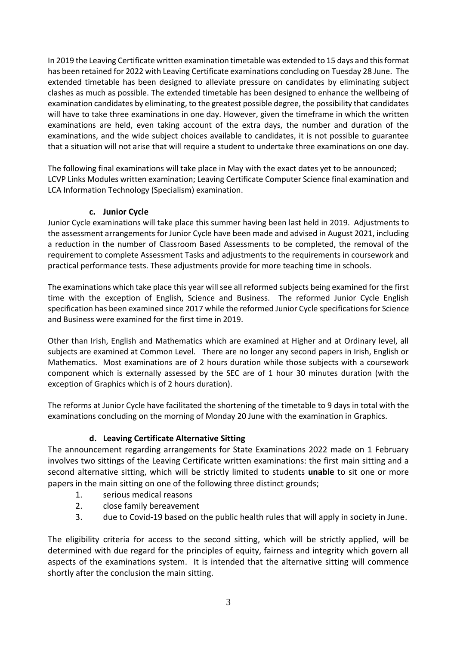In 2019 the Leaving Certificate written examination timetable was extended to 15 days and this format has been retained for 2022 with Leaving Certificate examinations concluding on Tuesday 28 June. The extended timetable has been designed to alleviate pressure on candidates by eliminating subject clashes as much as possible. The extended timetable has been designed to enhance the wellbeing of examination candidates by eliminating, to the greatest possible degree, the possibility that candidates will have to take three examinations in one day. However, given the timeframe in which the written examinations are held, even taking account of the extra days, the number and duration of the examinations, and the wide subject choices available to candidates, it is not possible to guarantee that a situation will not arise that will require a student to undertake three examinations on one day.

The following final examinations will take place in May with the exact dates yet to be announced; LCVP Links Modules written examination; Leaving Certificate Computer Science final examination and LCA Information Technology (Specialism) examination.

#### **c. Junior Cycle**

Junior Cycle examinations will take place this summer having been last held in 2019. Adjustments to the assessment arrangements for Junior Cycle have been made and advised in August 2021, including a reduction in the number of Classroom Based Assessments to be completed, the removal of the requirement to complete Assessment Tasks and adjustments to the requirements in coursework and practical performance tests. These adjustments provide for more teaching time in schools.

The examinations which take place this year will see all reformed subjects being examined for the first time with the exception of English, Science and Business. The reformed Junior Cycle English specification has been examined since 2017 while the reformed Junior Cycle specifications for Science and Business were examined for the first time in 2019.

Other than Irish, English and Mathematics which are examined at Higher and at Ordinary level, all subjects are examined at Common Level. There are no longer any second papers in Irish, English or Mathematics. Most examinations are of 2 hours duration while those subjects with a coursework component which is externally assessed by the SEC are of 1 hour 30 minutes duration (with the exception of Graphics which is of 2 hours duration).

The reforms at Junior Cycle have facilitated the shortening of the timetable to 9 days in total with the examinations concluding on the morning of Monday 20 June with the examination in Graphics.

# **d. Leaving Certificate Alternative Sitting**

The announcement regarding arrangements for State Examinations 2022 made on 1 February involves two sittings of the Leaving Certificate written examinations: the first main sitting and a second alternative sitting, which will be strictly limited to students **unable** to sit one or more papers in the main sitting on one of the following three distinct grounds;

- 1. serious medical reasons
- 2. close family bereavement
- 3. due to Covid-19 based on the public health rules that will apply in society in June.

The eligibility criteria for access to the second sitting, which will be strictly applied, will be determined with due regard for the principles of equity, fairness and integrity which govern all aspects of the examinations system. It is intended that the alternative sitting will commence shortly after the conclusion the main sitting.